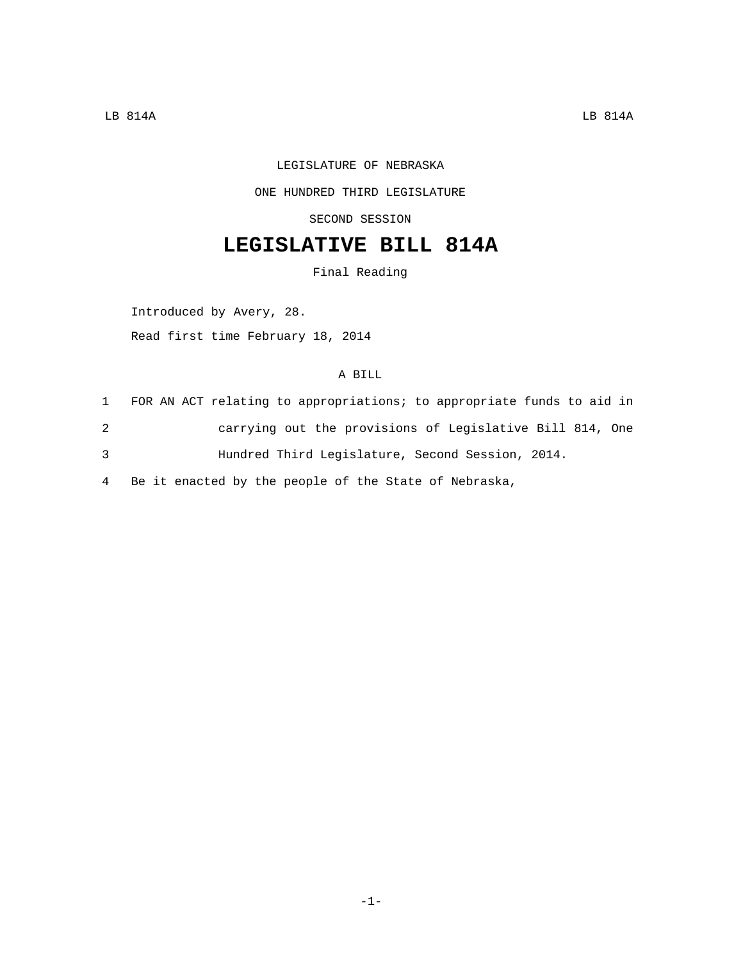## LEGISLATURE OF NEBRASKA

## ONE HUNDRED THIRD LEGISLATURE

SECOND SESSION

## **LEGISLATIVE BILL 814A**

Final Reading

Introduced by Avery, 28. Read first time February 18, 2014

## A BILL

|   | 1 FOR AN ACT relating to appropriations; to appropriate funds to aid in |
|---|-------------------------------------------------------------------------|
| 2 | carrying out the provisions of Legislative Bill 814, One                |
| 3 | Hundred Third Legislature, Second Session, 2014.                        |
|   | 4 Be it enacted by the people of the State of Nebraska,                 |